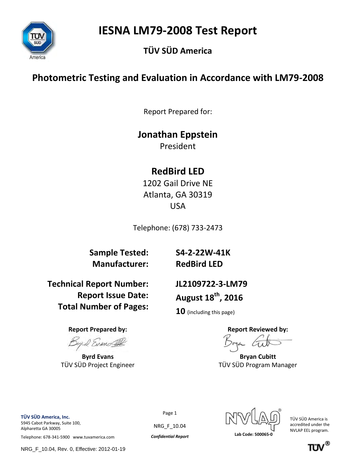**IESNA LM79-2008 Test Report** 



### **TÜV SÜD America**

### **Photometric Testing and Evaluation in Accordance with LM79-2008**

Report Prepared for:

### **Jonathan Eppstein**

President

## **RedBird LED**

1202 Gail Drive NE Atlanta, GA 30319 USA

Telephone: (678) 733-2473

**Sample Tested: Manufacturer:**

**S4-2-22W-41K RedBird LED** 

**Technical Report Number: Report Issue Date: Total Number of Pages:**

**JL2109722-3-LM79 August 18 th , 2016**

**10** (including this page)

**Report Prepared by: Report Reviewed by:**

**Byrd Evans Bryan Cubitt** TÜV SÜD Project Engineer TÜV SÜD Program Manager

**TÜV SÜD America, Inc.**  5945 Cabot Parkway, Suite 100, Alpharetta GA 30005

Telephone: 678-341-5900 www.tuvamerica.com *Confidential Report* **Lab Code: 500065-0**

NRG\_F\_10.04, Rev. 0, Effective: 2012-01-19

Page 1

NRG\_F\_10.04



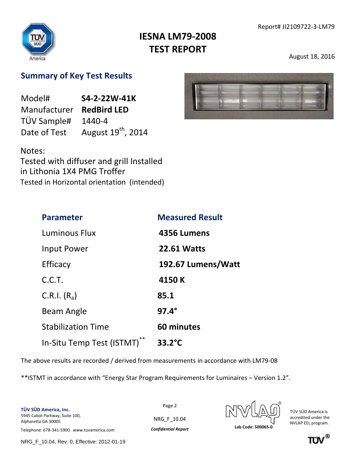

August 18, 2016

### **Summary of Key Test Results**

| Model#       | S4-2-22W-41K                   |  |
|--------------|--------------------------------|--|
| Manufacturer | <b>RedBird LED</b>             |  |
| TÜV Sample#  | 1440-4                         |  |
| Date of Test | August 19 <sup>th</sup> , 2014 |  |

Notes: Tested with diffuser and grill Installed in Lithonia 1X4 PMG Troffer Tested in Horizontal orientation (intended)

| <b>Parameter</b>          | <b>Measured Result</b> |
|---------------------------|------------------------|
| Luminous Flux             | 4356 Lumens            |
| Input Power               | <b>22.61 Watts</b>     |
| Efficacy                  | 192.67 Lumens/Watt     |
| C.C.T.                    | 4150 K                 |
| C.R.I. $(R_a)$            | 85.1                   |
| Beam Angle                | $97.4^\circ$           |
| <b>Stabilization Time</b> | 60 minutes             |
| In-Situ Temp Test (ISTMT) | $33.2^{\circ}$ C       |

The above results are recorded / derived from measurements in accordance with LM79-08

\*\*ISTMT in accordance with "Energy Star Program Requirements for Luminaires – Version 1.2".

**TÜV SÜD America, Inc.**  5945 Cabot Parkway, Suite 100, Alpharetta GA 30005

Page 2 NRG\_F\_10.04

TÜV SÜD America is accredited under the NVLAP EEL program.

Telephone: 678-341-5900 www.tuvamerica.com *Confidential Report* **Lab Code: 500065-0**

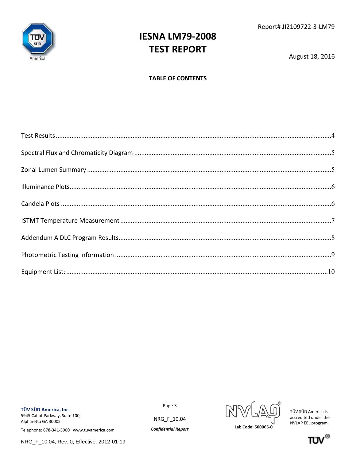

August 18, 2016

#### **TABLE OF CONTENTS**

TÜV SÜD America, Inc. 5945 Cabot Parkway, Suite 100, Alpharetta GA 30005

Telephone: 678-341-5900 www.tuvamerica.com

Page 3

NRG\_F\_10.04

**Confidential Report** 



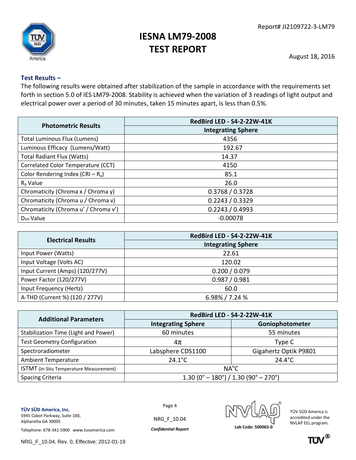

August 18, 2016

#### <span id="page-3-0"></span>**Test Results –**

The following results were obtained after stabilization of the sample in accordance with the requirements set forth in section 5.0 of IES LM79-2008. Stability is achieved when the variation of 3 readings of light output and electrical power over a period of 30 minutes, taken 15 minutes apart, is less than 0.5%.

|                                      | RedBird LED - S4-2-22W-41K |
|--------------------------------------|----------------------------|
| <b>Photometric Results</b>           | <b>Integrating Sphere</b>  |
| <b>Total Luminous Flux (Lumens)</b>  | 4356                       |
| Luminous Efficacy (Lumens/Watt)      | 192.67                     |
| <b>Total Radiant Flux (Watts)</b>    | 14.37                      |
| Correlated Color Temperature (CCT)   | 4150                       |
| Color Rendering Index (CRI – $R_a$ ) | 85.1                       |
| R <sub>9</sub> Value                 | 26.0                       |
| Chromaticity (Chroma x / Chroma y)   | 0.3768 / 0.3728            |
| Chromaticity (Chroma u / Chroma v)   | 0.2243 / 0.3329            |
| Chromaticity (Chroma u' / Chroma v') | 0.2243 / 0.4993            |
| Duy Value                            | $-0.00078$                 |

| <b>Electrical Results</b>       | RedBird LED - S4-2-22W-41K |  |  |
|---------------------------------|----------------------------|--|--|
|                                 | <b>Integrating Sphere</b>  |  |  |
| Input Power (Watts)             | 22.61                      |  |  |
| Input Voltage (Volts AC)        | 120.02                     |  |  |
| Input Current (Amps) (120/277V) | 0.200 / 0.079              |  |  |
| Power Factor (120/277V)         | 0.987 / 0.981              |  |  |
| Input Frequency (Hertz)         | 60.0                       |  |  |
| A-THD (Current %) (120 / 277V)  | $6.98\%$ / 7.24 $\%$       |  |  |

| <b>Additional Parameters</b>            | RedBird LED - S4-2-22W-41K                                       |                       |  |  |
|-----------------------------------------|------------------------------------------------------------------|-----------------------|--|--|
|                                         | <b>Integrating Sphere</b>                                        | Goniophotometer       |  |  |
| Stabilization Time (Light and Power)    | 60 minutes                                                       | 55 minutes            |  |  |
| <b>Test Geometry Configuration</b>      | 4π                                                               | Type C                |  |  |
| Spectroradiometer                       | Labsphere CDS1100                                                | Gigahertz Optik P9801 |  |  |
| <b>Ambient Temperature</b>              | $24.1^{\circ}$ C                                                 | $24.4^{\circ}$ C      |  |  |
| ISTMT (In-Situ Temperature Measurement) | $NA^{\circ}C$                                                    |                       |  |  |
| <b>Spacing Criteria</b>                 | $1.30(0^{\circ} - 180^{\circ}) / 1.30(90^{\circ} - 270^{\circ})$ |                       |  |  |

Page 4

NRG\_F\_10.04

**TÜV SÜD America, Inc.**  5945 Cabot Parkway, Suite 100, Alpharetta GA 30005

Telephone: 678-341-5900 www.tuvamerica.com *Confidential Report* **Lab Code: 500065-0**

NRG\_F\_10.04, Rev. 0, Effective: 2012-01-19



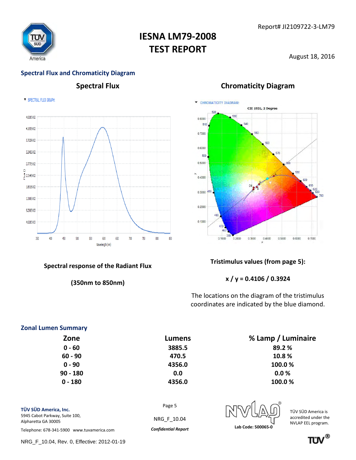

August 18, 2016

### **Spectral Flux and Chromaticity Diagram**

SPECTRAL FLUX GRAPH:



#### **Spectral response of the Radiant Flux**

**(350nm to 850nm)**

### **Spectral Flux Chromaticity Diagram**

<span id="page-4-0"></span>

#### **Tristimulus values (from page 5):**

**x / y = 0.4106 / 0.3924**

The locations on the diagram of the tristimulus coordinates are indicated by the blue diamond.

#### **Zonal Lumen Summary**

<span id="page-4-1"></span>

|        | % Lamp / Luminaire |
|--------|--------------------|
|        | 89.2%              |
| 470.5  | 10.8%              |
| 4356.0 | 100.0%             |
| 0.0    | 0.0%               |
| 4356.0 | 100.0%             |
|        | Lumens<br>3885.5   |

Page 5

NRG\_F\_10.04

**TÜV SÜD America, Inc.**  5945 Cabot Parkway, Suite 100, Alpharetta GA 30005

Telephone: 678-341-5900 www.tuvamerica.com *Confidential Report* **Lab Code: 500065-0**

NRG\_F\_10.04, Rev. 0, Effective: 2012-01-19



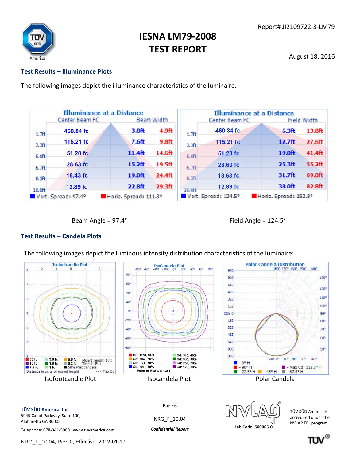

August 18, 2016

#### <span id="page-5-0"></span>**Test Results – Illuminance Plots**

The following images depict the illuminance characteristics of the luminaire.

| <b>Illuminance at a Distance</b> |                     |                       |                    |                   |                      | <b>Illuminance at a Distance</b> |             |
|----------------------------------|---------------------|-----------------------|--------------------|-------------------|----------------------|----------------------------------|-------------|
|                                  | Center Beam FC      |                       | <b>Beam Width</b>  |                   | Center Beam FC       |                                  | Field Width |
| 1.7 <sup>h</sup>                 | 460.84 fc           | 3.8 <sub>ft</sub>     | 4.9 <sub>ft</sub>  | 1.7 <sup>ft</sup> | 460.84 fc            | 6.3 <sub>ft</sub>                | 13.8ft      |
| 3.3 <sub>f</sub>                 | 115.21 fc           | 7.6ft                 | 9.8ft              | $3.3f$ t          | 115.21 fc            | 12.7ft                           | 27.6ft      |
| 5.0 <sub>ft</sub>                | 51.20 fc            | 11.4ft                | 14.6ft             | $S.$ Oft          | 51.20 fc             | 19.0ft                           | 41.4ft      |
| 6.7ft                            | 28.63 fc            | 15.2 <sub>ft</sub>    | 19.5 <sub>ft</sub> | 6.7ft             | 28.63 fc             | 25.3 <sup>ft</sup>               | 55.2ft      |
| 8.3 <sup>2</sup>                 | 18.43 fc            | 19.0ft                | 24.4ft             | 8.3 <sup>2</sup>  | 18.63 fc             | 31.7ft                           | 69.0ft      |
| 10.0ft                           | 12.89 fc            | 22.8ft                | 29.3ft             | 10.0ft            | 12.89 fc             | 38.0ft                           | 82.8ft      |
|                                  | Vert. Spread: 97.4° | Horiz. Spread: 111.3° |                    |                   | Vert. Spread: 124.5° | Horiz. Spread: 152.8°            |             |

<span id="page-5-1"></span>

Beam Angle = 97.4° and the state of the Field Angle = 124.5°

#### **Test Results – Candela Plots**

The following images depict the luminous intensity distribution characteristics of the luminaire:



**TÜV SÜD America, Inc.**  5945 Cabot Parkway, Suite 100, Alpharetta GA 30005

Telephone: 678-341-5900 www.tuvamerica.com *Confidential Report* **Lab Code: 500065-0**

NRG\_F\_10.04



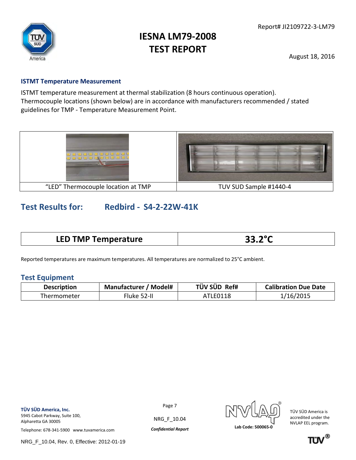

August 18, 2016

#### <span id="page-6-0"></span>**ISTMT Temperature Measurement**

ISTMT temperature measurement at thermal stabilization (8 hours continuous operation). Thermocouple locations (shown below) are in accordance with manufacturers recommended / stated guidelines for TMP - Temperature Measurement Point.



### **Test Results for: Redbird - S4-2-22W-41K**

| <b>LED TMP Temperature</b> | 22.20<br>35.Z |
|----------------------------|---------------|
|----------------------------|---------------|

Reported temperatures are maximum temperatures. All temperatures are normalized to 25°C ambient.

#### **Test Equipment**

| <b>Description</b>         | <b>Manufacturer / Model#</b> | TÜV SÜD Ref# | <b>Calibration Due Date</b> |  |
|----------------------------|------------------------------|--------------|-----------------------------|--|
| -luke 52-II<br>Thermometer |                              | ATLE0118     | 1/16/2015                   |  |

Alpharetta GA 30005

Page 7

NRG\_F\_10.04

TÜV SÜD America is accredited under the NVLAP EEL program.

Telephone: 678-341-5900 www.tuvamerica.com *Confidential Report* **Lab Code: 500065-0**

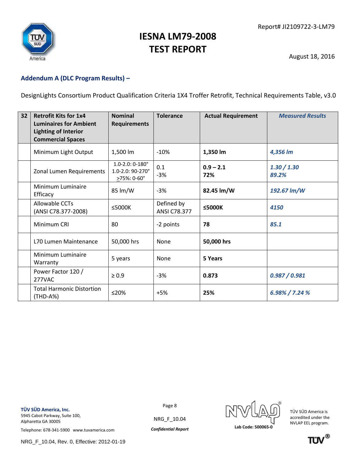

August 18, 2016

#### <span id="page-7-0"></span>**Addendum A (DLC Program Results) –**

DesignLights Consortium Product Qualification Criteria 1X4 Troffer Retrofit, Technical Requirements Table, v3.0

| 32 | <b>Retrofit Kits for 1x4</b><br><b>Luminaires for Ambient</b><br><b>Lighting of Interior</b><br><b>Commercial Spaces</b> | <b>Nominal</b><br><b>Requirements</b>                               | <b>Tolerance</b>                  | <b>Actual Requirement</b> | <b>Measured Results</b> |
|----|--------------------------------------------------------------------------------------------------------------------------|---------------------------------------------------------------------|-----------------------------------|---------------------------|-------------------------|
|    | Minimum Light Output                                                                                                     | 1,500 lm                                                            | $-10%$                            | 1,350 lm                  | 4,356 lm                |
|    | Zonal Lumen Requirements                                                                                                 | $1.0 - 2.0: 0 - 180^\circ$<br>1.0-2.0: 90-270°<br>$\geq$ 75%: 0-60° | 0.1<br>$-3%$                      | $0.9 - 2.1$<br>72%        | 1.30 / 1.30<br>89.2%    |
|    | Minimum Luminaire<br>Efficacy                                                                                            | 85 lm/W                                                             | $-3%$                             | 82.45 lm/W                | 192.67 lm/W             |
|    | Allowable CCTs<br>(ANSI C78.377-2008)                                                                                    | $\leq$ 5000K                                                        | Defined by<br><b>ANSI C78.377</b> | $<$ 5000K                 | 4150                    |
|    | Minimum CRI                                                                                                              | 80                                                                  | -2 points                         | 78                        | 85.1                    |
|    | L70 Lumen Maintenance                                                                                                    | 50,000 hrs                                                          | None                              | 50,000 hrs                |                         |
|    | Minimum Luminaire<br>Warranty                                                                                            | 5 years                                                             | None                              | 5 Years                   |                         |
|    | Power Factor 120 /<br>277VAC                                                                                             | $\geq 0.9$                                                          | $-3%$                             | 0.873                     | 0.987 / 0.981           |
|    | <b>Total Harmonic Distortion</b><br>(THD-A%)                                                                             | $\leq$ 20%                                                          | $+5%$                             | 25%                       | $6.98\%$ / 7.24 $\%$    |

**TÜV SÜD America, Inc.** 

Alpharetta GA 30005

5945 Cabot Parkway, Suite 100,

Page 8

NRG\_F\_10.04



TÜV SÜD America is accredited under the NVLAP EEL program.

Telephone: 678-341-5900 www.tuvamerica.com *Confidential Report* **Lab Code: 500065-0**

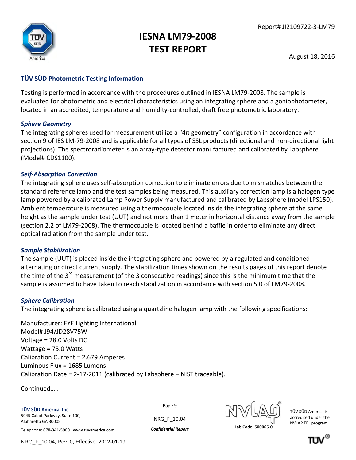

August 18, 2016

### <span id="page-8-0"></span>**TÜV SÜD Photometric Testing Information**

Testing is performed in accordance with the procedures outlined in IESNA LM79-2008. The sample is evaluated for photometric and electrical characteristics using an integrating sphere and a goniophotometer, located in an accredited, temperature and humidity-controlled, draft free photometric laboratory.

#### *Sphere Geometry*

The integrating spheres used for measurement utilize a "4π geometry" configuration in accordance with section 9 of IES LM-79-2008 and is applicable for all types of SSL products (directional and non-directional light projections). The spectroradiometer is an array-type detector manufactured and calibrated by Labsphere (Model# CDS1100).

#### *Self-Absorption Correction*

The integrating sphere uses self-absorption correction to eliminate errors due to mismatches between the standard reference lamp and the test samples being measured. This auxiliary correction lamp is a halogen type lamp powered by a calibrated Lamp Power Supply manufactured and calibrated by Labsphere (model LPS150). Ambient temperature is measured using a thermocouple located inside the integrating sphere at the same height as the sample under test (UUT) and not more than 1 meter in horizontal distance away from the sample (section 2.2 of LM79-2008). The thermocouple is located behind a baffle in order to eliminate any direct optical radiation from the sample under test.

#### *Sample Stabilization*

The sample (UUT) is placed inside the integrating sphere and powered by a regulated and conditioned alternating or direct current supply. The stabilization times shown on the results pages of this report denote the time of the 3<sup>rd</sup> measurement (of the 3 consecutive readings) since this is the minimum time that the sample is assumed to have taken to reach stabilization in accordance with section 5.0 of LM79-2008.

#### *Sphere Calibration*

The integrating sphere is calibrated using a quartzline halogen lamp with the following specifications:

Manufacturer: EYE Lighting International Model# J94/JD28V75W Voltage = 28.0 Volts DC Wattage = 75.0 Watts Calibration Current = 2.679 Amperes Luminous Flux = 1685 Lumens Calibration Date = 2-17-2011 (calibrated by Labsphere – NIST traceable).

Continued…..

**TÜV SÜD America, Inc.**  5945 Cabot Parkway, Suite 100, Alpharetta GA 30005

Page 9

NRG\_F\_10.04



TÜV SÜD America is accredited under the NVLAP EEL program.

Telephone: 678-341-5900 www.tuvamerica.com *Confidential Report* **Lab Code: 500065-0**